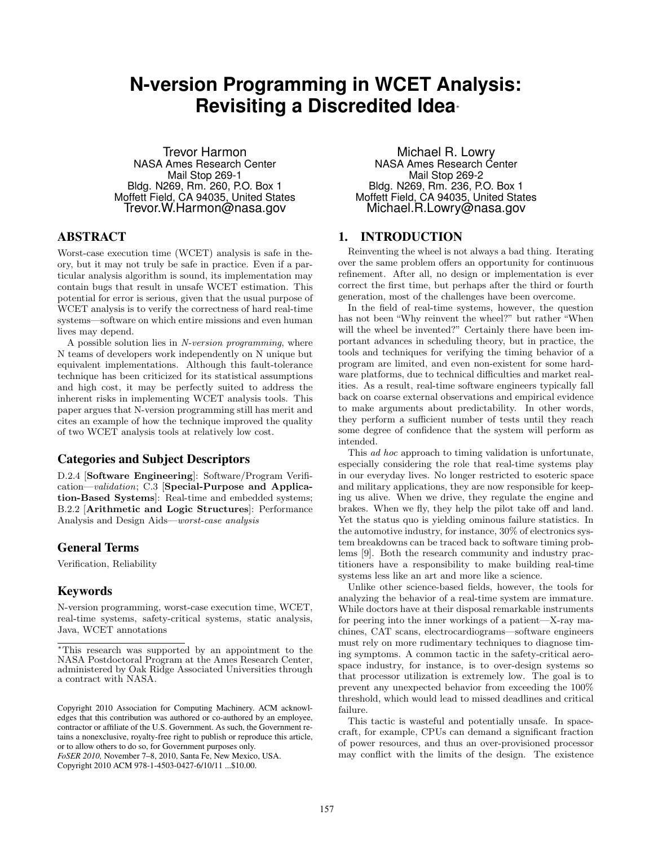# **N-version Programming in WCET Analysis: Revisiting a Discredited Idea**<sup>∗</sup>

Trevor Harmon NASA Ames Research Center Mail Stop 269-1 Bldg. N269, Rm. 260, P.O. Box 1 Moffett Field, CA 94035, United States Trevor.W.Harmon@nasa.gov

## ABSTRACT

Worst-case execution time (WCET) analysis is safe in theory, but it may not truly be safe in practice. Even if a particular analysis algorithm is sound, its implementation may contain bugs that result in unsafe WCET estimation. This potential for error is serious, given that the usual purpose of WCET analysis is to verify the correctness of hard real-time systems—software on which entire missions and even human lives may depend.

A possible solution lies in N-version programming, where N teams of developers work independently on N unique but equivalent implementations. Although this fault-tolerance technique has been criticized for its statistical assumptions and high cost, it may be perfectly suited to address the inherent risks in implementing WCET analysis tools. This paper argues that N-version programming still has merit and cites an example of how the technique improved the quality of two WCET analysis tools at relatively low cost.

#### Categories and Subject Descriptors

D.2.4 [Software Engineering]: Software/Program Verification—validation; C.3 [Special-Purpose and Application-Based Systems]: Real-time and embedded systems; B.2.2 [Arithmetic and Logic Structures]: Performance Analysis and Design Aids—worst-case analysis

#### General Terms

Verification, Reliability

#### Keywords

N-version programming, worst-case execution time, WCET, real-time systems, safety-critical systems, static analysis, Java, WCET annotations

*FoSER 2010,* November 7–8, 2010, Santa Fe, New Mexico, USA.

Copyright 2010 ACM 978-1-4503-0427-6/10/11 ...\$10.00.

Michael R. Lowry NASA Ames Research Center Mail Stop 269-2 Bldg. N269, Rm. 236, P.O. Box 1 Moffett Field, CA 94035, United States Michael.R.Lowry@nasa.gov

## 1. INTRODUCTION

Reinventing the wheel is not always a bad thing. Iterating over the same problem offers an opportunity for continuous refinement. After all, no design or implementation is ever correct the first time, but perhaps after the third or fourth generation, most of the challenges have been overcome.

In the field of real-time systems, however, the question has not been "Why reinvent the wheel?" but rather "When will the wheel be invented?" Certainly there have been important advances in scheduling theory, but in practice, the tools and techniques for verifying the timing behavior of a program are limited, and even non-existent for some hardware platforms, due to technical difficulties and market realities. As a result, real-time software engineers typically fall back on coarse external observations and empirical evidence to make arguments about predictability. In other words, they perform a sufficient number of tests until they reach some degree of confidence that the system will perform as intended.

This ad hoc approach to timing validation is unfortunate, especially considering the role that real-time systems play in our everyday lives. No longer restricted to esoteric space and military applications, they are now responsible for keeping us alive. When we drive, they regulate the engine and brakes. When we fly, they help the pilot take off and land. Yet the status quo is yielding ominous failure statistics. In the automotive industry, for instance, 30% of electronics system breakdowns can be traced back to software timing problems [9]. Both the research community and industry practitioners have a responsibility to make building real-time systems less like an art and more like a science.

Unlike other science-based fields, however, the tools for analyzing the behavior of a real-time system are immature. While doctors have at their disposal remarkable instruments for peering into the inner workings of a patient—X-ray machines, CAT scans, electrocardiograms—software engineers must rely on more rudimentary techniques to diagnose timing symptoms. A common tactic in the safety-critical aerospace industry, for instance, is to over-design systems so that processor utilization is extremely low. The goal is to prevent any unexpected behavior from exceeding the 100% threshold, which would lead to missed deadlines and critical failure.

This tactic is wasteful and potentially unsafe. In spacecraft, for example, CPUs can demand a significant fraction of power resources, and thus an over-provisioned processor may conflict with the limits of the design. The existence

<sup>∗</sup>This research was supported by an appointment to the NASA Postdoctoral Program at the Ames Research Center, administered by Oak Ridge Associated Universities through a contract with NASA.

Copyright 2010 Association for Computing Machinery. ACM acknowledges that this contribution was authored or co-authored by an employee, contractor or affiliate of the U.S. Government. As such, the Government retains a nonexclusive, royalty-free right to publish or reproduce this article, or to allow others to do so, for Government purposes only.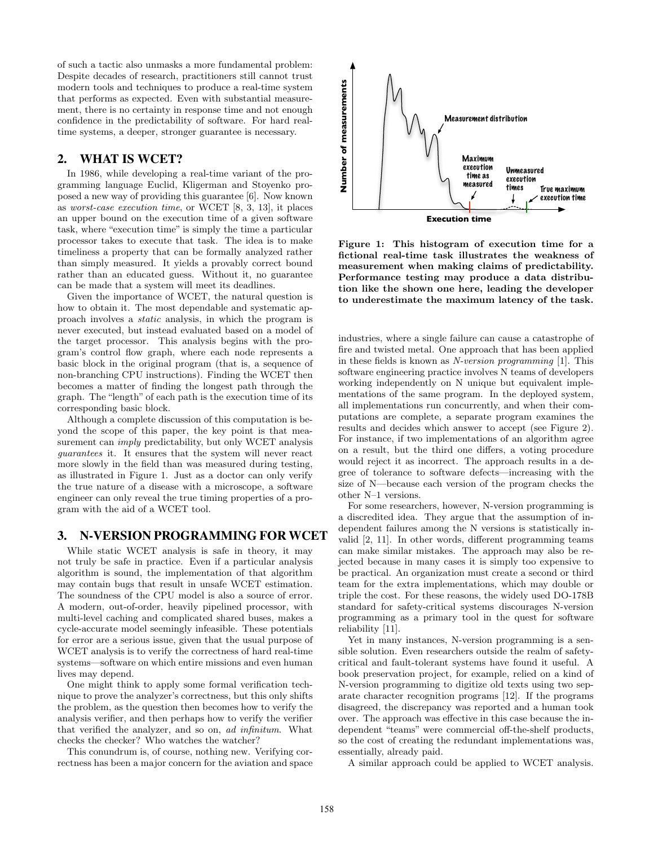of such a tactic also unmasks a more fundamental problem: Despite decades of research, practitioners still cannot trust modern tools and techniques to produce a real-time system that performs as expected. Even with substantial measurement, there is no certainty in response time and not enough confidence in the predictability of software. For hard realtime systems, a deeper, stronger guarantee is necessary.

## 2. WHAT IS WCET?

In 1986, while developing a real-time variant of the programming language Euclid, Kligerman and Stoyenko proposed a new way of providing this guarantee [6]. Now known as worst-case execution time, or WCET [8, 3, 13], it places an upper bound on the execution time of a given software task, where "execution time" is simply the time a particular processor takes to execute that task. The idea is to make timeliness a property that can be formally analyzed rather than simply measured. It yields a provably correct bound rather than an educated guess. Without it, no guarantee can be made that a system will meet its deadlines.

Given the importance of WCET, the natural question is how to obtain it. The most dependable and systematic approach involves a static analysis, in which the program is never executed, but instead evaluated based on a model of the target processor. This analysis begins with the program's control flow graph, where each node represents a basic block in the original program (that is, a sequence of non-branching CPU instructions). Finding the WCET then becomes a matter of finding the longest path through the graph. The "length" of each path is the execution time of its corresponding basic block.

Although a complete discussion of this computation is beyond the scope of this paper, the key point is that measurement can imply predictability, but only WCET analysis guarantees it. It ensures that the system will never react more slowly in the field than was measured during testing, as illustrated in Figure 1. Just as a doctor can only verify the true nature of a disease with a microscope, a software engineer can only reveal the true timing properties of a program with the aid of a WCET tool.

## 3. N-VERSION PROGRAMMING FOR WCET

While static WCET analysis is safe in theory, it may not truly be safe in practice. Even if a particular analysis algorithm is sound, the implementation of that algorithm may contain bugs that result in unsafe WCET estimation. The soundness of the CPU model is also a source of error. A modern, out-of-order, heavily pipelined processor, with multi-level caching and complicated shared buses, makes a cycle-accurate model seemingly infeasible. These potentials for error are a serious issue, given that the usual purpose of WCET analysis is to verify the correctness of hard real-time systems—software on which entire missions and even human lives may depend.

One might think to apply some formal verification technique to prove the analyzer's correctness, but this only shifts the problem, as the question then becomes how to verify the analysis verifier, and then perhaps how to verify the verifier that verified the analyzer, and so on, ad infinitum. What checks the checker? Who watches the watcher?

This conundrum is, of course, nothing new. Verifying correctness has been a major concern for the aviation and space



Figure 1: This histogram of execution time for a fictional real-time task illustrates the weakness of measurement when making claims of predictability. Performance testing may produce a data distribution like the shown one here, leading the developer to underestimate the maximum latency of the task.

industries, where a single failure can cause a catastrophe of fire and twisted metal. One approach that has been applied in these fields is known as N-version programming [1]. This software engineering practice involves N teams of developers working independently on N unique but equivalent implementations of the same program. In the deployed system, all implementations run concurrently, and when their computations are complete, a separate program examines the results and decides which answer to accept (see Figure 2). For instance, if two implementations of an algorithm agree on a result, but the third one differs, a voting procedure would reject it as incorrect. The approach results in a degree of tolerance to software defects—increasing with the size of N—because each version of the program checks the other N–1 versions.

For some researchers, however, N-version programming is a discredited idea. They argue that the assumption of independent failures among the N versions is statistically invalid [2, 11]. In other words, different programming teams can make similar mistakes. The approach may also be rejected because in many cases it is simply too expensive to be practical. An organization must create a second or third team for the extra implementations, which may double or triple the cost. For these reasons, the widely used DO-178B standard for safety-critical systems discourages N-version programming as a primary tool in the quest for software reliability [11].

Yet in many instances, N-version programming is a sensible solution. Even researchers outside the realm of safetycritical and fault-tolerant systems have found it useful. A book preservation project, for example, relied on a kind of N-version programming to digitize old texts using two separate character recognition programs [12]. If the programs disagreed, the discrepancy was reported and a human took over. The approach was effective in this case because the independent "teams" were commercial off-the-shelf products, so the cost of creating the redundant implementations was, essentially, already paid.

A similar approach could be applied to WCET analysis.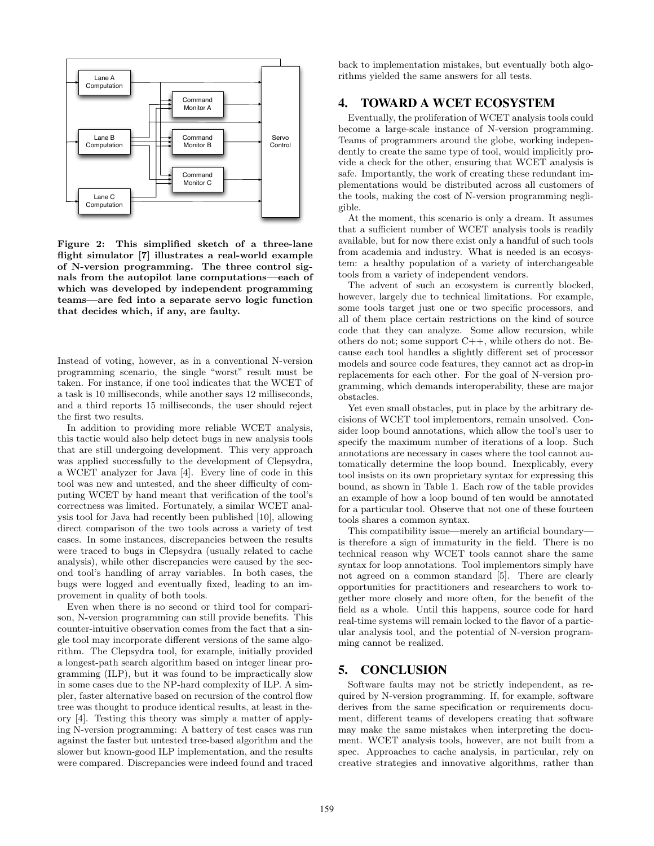

Figure 2: This simplified sketch of a three-lane flight simulator [7] illustrates a real-world example of N-version programming. The three control signals from the autopilot lane computations—each of which was developed by independent programming teams—are fed into a separate servo logic function that decides which, if any, are faulty.

Instead of voting, however, as in a conventional N-version programming scenario, the single "worst" result must be taken. For instance, if one tool indicates that the WCET of a task is 10 milliseconds, while another says 12 milliseconds, and a third reports 15 milliseconds, the user should reject the first two results.

In addition to providing more reliable WCET analysis, this tactic would also help detect bugs in new analysis tools that are still undergoing development. This very approach was applied successfully to the development of Clepsydra, a WCET analyzer for Java [4]. Every line of code in this tool was new and untested, and the sheer difficulty of computing WCET by hand meant that verification of the tool's correctness was limited. Fortunately, a similar WCET analysis tool for Java had recently been published [10], allowing direct comparison of the two tools across a variety of test cases. In some instances, discrepancies between the results were traced to bugs in Clepsydra (usually related to cache analysis), while other discrepancies were caused by the second tool's handling of array variables. In both cases, the bugs were logged and eventually fixed, leading to an improvement in quality of both tools.

Even when there is no second or third tool for comparison, N-version programming can still provide benefits. This counter-intuitive observation comes from the fact that a single tool may incorporate different versions of the same algorithm. The Clepsydra tool, for example, initially provided a longest-path search algorithm based on integer linear programming (ILP), but it was found to be impractically slow in some cases due to the NP-hard complexity of ILP. A simpler, faster alternative based on recursion of the control flow tree was thought to produce identical results, at least in theory [4]. Testing this theory was simply a matter of applying N-version programming: A battery of test cases was run against the faster but untested tree-based algorithm and the slower but known-good ILP implementation, and the results were compared. Discrepancies were indeed found and traced

back to implementation mistakes, but eventually both algorithms yielded the same answers for all tests.

## 4. TOWARD A WCET ECOSYSTEM

Eventually, the proliferation of WCET analysis tools could become a large-scale instance of N-version programming. Teams of programmers around the globe, working independently to create the same type of tool, would implicitly provide a check for the other, ensuring that WCET analysis is safe. Importantly, the work of creating these redundant implementations would be distributed across all customers of the tools, making the cost of N-version programming negligible.

At the moment, this scenario is only a dream. It assumes that a sufficient number of WCET analysis tools is readily available, but for now there exist only a handful of such tools from academia and industry. What is needed is an ecosystem: a healthy population of a variety of interchangeable tools from a variety of independent vendors.

The advent of such an ecosystem is currently blocked, however, largely due to technical limitations. For example, some tools target just one or two specific processors, and all of them place certain restrictions on the kind of source code that they can analyze. Some allow recursion, while others do not; some support C++, while others do not. Because each tool handles a slightly different set of processor models and source code features, they cannot act as drop-in replacements for each other. For the goal of N-version programming, which demands interoperability, these are major obstacles.

Yet even small obstacles, put in place by the arbitrary decisions of WCET tool implementors, remain unsolved. Consider loop bound annotations, which allow the tool's user to specify the maximum number of iterations of a loop. Such annotations are necessary in cases where the tool cannot automatically determine the loop bound. Inexplicably, every tool insists on its own proprietary syntax for expressing this bound, as shown in Table 1. Each row of the table provides an example of how a loop bound of ten would be annotated for a particular tool. Observe that not one of these fourteen tools shares a common syntax.

This compatibility issue—merely an artificial boundary is therefore a sign of immaturity in the field. There is no technical reason why WCET tools cannot share the same syntax for loop annotations. Tool implementors simply have not agreed on a common standard [5]. There are clearly opportunities for practitioners and researchers to work together more closely and more often, for the benefit of the field as a whole. Until this happens, source code for hard real-time systems will remain locked to the flavor of a particular analysis tool, and the potential of N-version programming cannot be realized.

### 5. CONCLUSION

Software faults may not be strictly independent, as required by N-version programming. If, for example, software derives from the same specification or requirements document, different teams of developers creating that software may make the same mistakes when interpreting the document. WCET analysis tools, however, are not built from a spec. Approaches to cache analysis, in particular, rely on creative strategies and innovative algorithms, rather than